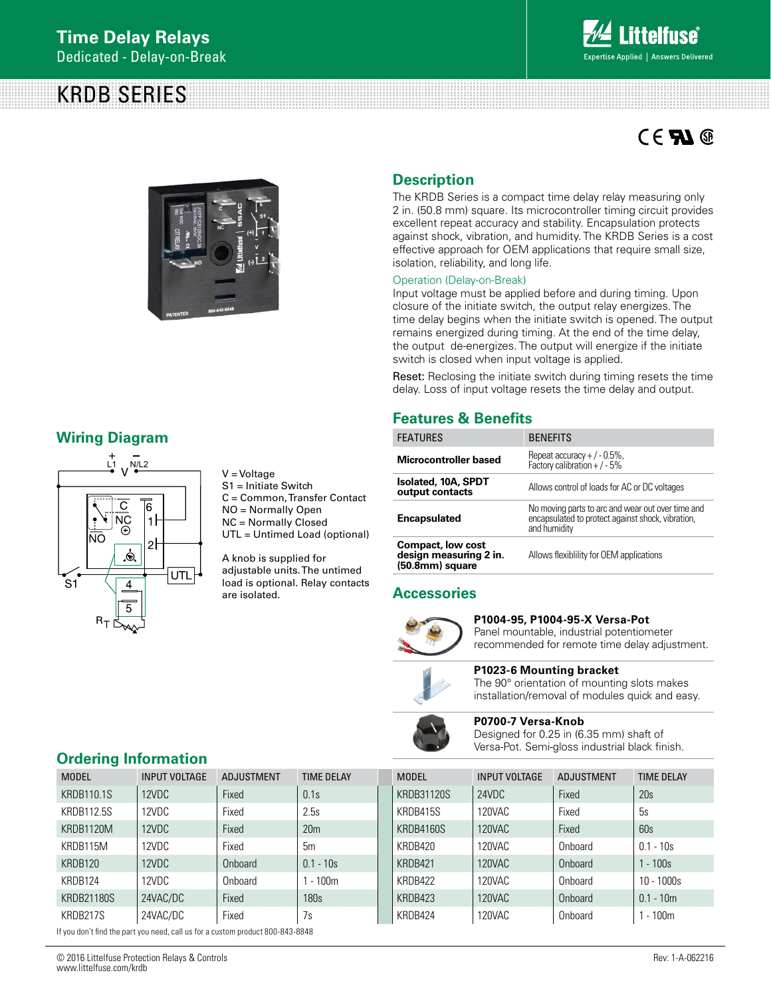# KRDB SERIES



# $C \in \mathbf{F}$   $\mathbf{M} \circledcirc$



### **Wiring Diagram**



V = Voltage S1 = Initiate Switch C = Common, Transfer Contact NO = Normally Open NC = Normally Closed UTL = Untimed Load (optional)

A knob is supplied for adjustable units. The untimed load is optional. Relay contacts are isolated.

### **Description**

The KRDB Series is a compact time delay relay measuring only 2 in. (50.8 mm) square. Its microcontroller timing circuit provides excellent repeat accuracy and stability. Encapsulation protects against shock, vibration, and humidity. The KRDB Series is a cost effective approach for OEM applications that require small size, isolation, reliability, and long life.

#### Operation (Delay-on-Break)

Input voltage must be applied before and during timing. Upon closure of the initiate switch, the output relay energizes. The time delay begins when the initiate switch is opened. The output remains energized during timing. At the end of the time delay, the output de-energizes. The output will energize if the initiate switch is closed when input voltage is applied.

Reset: Reclosing the initiate switch during timing resets the time delay. Loss of input voltage resets the time delay and output.

### **Features & Benefits**

| <b>FEATURES</b>                                                | <b>BENEFITS</b>                                                                                                        |
|----------------------------------------------------------------|------------------------------------------------------------------------------------------------------------------------|
| Microcontroller based                                          | Repeat accuracy + $/$ - 0.5%,<br>Factory calibration + $/$ - 5%                                                        |
| Isolated, 10A, SPDT<br>output contacts                         | Allows control of loads for AC or DC voltages                                                                          |
| <b>Encapsulated</b>                                            | No moving parts to arc and wear out over time and<br>encapsulated to protect against shock, vibration,<br>and humidity |
| Compact, low cost<br>design measuring 2 in.<br>(50.8mm) square | Allows flexibility for OEM applications                                                                                |

### **Accessories**



#### **P1004-95, P1004-95-X Versa-Pot**

Panel mountable, industrial potentiometer recommended for remote time delay adjustment.



## **P1023-6 Mounting bracket**

The 90° orientation of mounting slots makes installation/removal of modules quick and easy.



**P0700-7 Versa-Knob** 

Designed for 0.25 in (6.35 mm) shaft of Versa-Pot. Semi-gloss industrial black finish.

### **Ordering Information**

| <b>MODEL</b>      | <b>INPUT VOLTAGE</b> | <b>ADJUSTMENT</b> | <b>TIME DELAY</b> | <b>MODEL</b> | <b>INPUT VOLTAGE</b> | <b>ADJUSTMENT</b> | <b>TIME DELAY</b> |
|-------------------|----------------------|-------------------|-------------------|--------------|----------------------|-------------------|-------------------|
| <b>KRDB110.1S</b> | 12VDC                | Fixed             | 0.1s              | KRDB31120S   | 24VDC                | Fixed             | 20s               |
| KRDB112.5S        | 12VDC                | Fixed             | 2.5s              | KRDB415S     | 120VAC               | Fixed             | 5s                |
| KRDB1120M         | 12VDC                | Fixed             | 20 <sub>m</sub>   | KRDB4160S    | 120VAC               | Fixed             | 60s               |
| KRDB115M          | 12VDC                | Fixed             | 5m                | KRDB420      | 120VAC               | Onboard           | $0.1 - 10s$       |
| KRDB120           | 12VDC                | Onboard           | $0.1 - 10s$       | KRDB421      | 120VAC               | Onboard           | $1 - 100s$        |
| KRDB124           | 12VDC                | Onboard           | $1 - 100m$        | KRDB422      | 120VAC               | Onboard           | $10 - 1000s$      |
| KRDB21180S        | 24VAC/DC             | Fixed             | 180s              | KRDB423      | 120VAC               | Onboard           | $0.1 - 10m$       |
| KRDB217S          | 24VAC/DC             | Fixed             | 7s                | KRDB424      | 120VAC               | Onboard           | $-100m$           |

If you don't find the part you need, call us for a custom product 800-843-8848